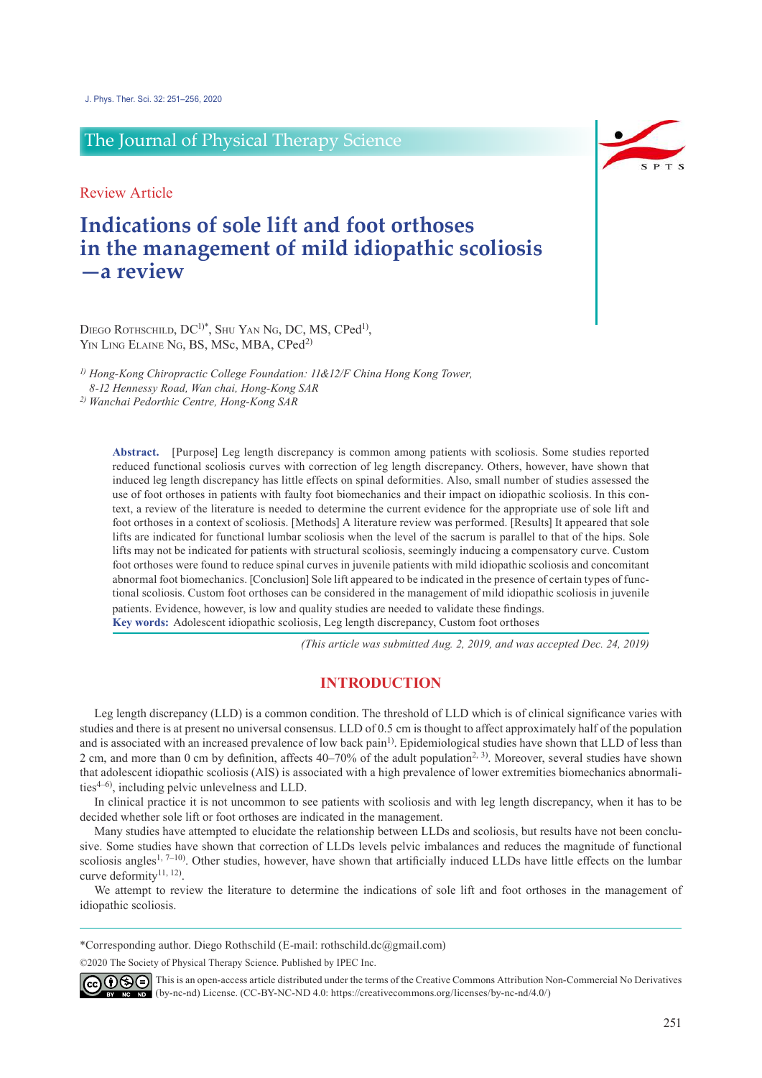# The Journal of Physical Therapy Science

Review Article

# **Indications of sole lift and foot orthoses in the management of mild idiopathic scoliosis —a review**

DIEGO ROTHSCHILD, DC<sup>1)\*</sup>, SHU YAN NG, DC, MS, CPed<sup>1)</sup>, YIN LING ELAINE NG, BS, MSc, MBA, CPed<sup>2)</sup>

*1) Hong-Kong Chiropractic College Foundation: 11&12/F China Hong Kong Tower, 8-12 Hennessy Road, Wan chai, Hong-Kong SAR*

*2) Wanchai Pedorthic Centre, Hong-Kong SAR*

**Abstract.** [Purpose] Leg length discrepancy is common among patients with scoliosis. Some studies reported reduced functional scoliosis curves with correction of leg length discrepancy. Others, however, have shown that induced leg length discrepancy has little effects on spinal deformities. Also, small number of studies assessed the use of foot orthoses in patients with faulty foot biomechanics and their impact on idiopathic scoliosis. In this context, a review of the literature is needed to determine the current evidence for the appropriate use of sole lift and foot orthoses in a context of scoliosis. [Methods] A literature review was performed. [Results] It appeared that sole lifts are indicated for functional lumbar scoliosis when the level of the sacrum is parallel to that of the hips. Sole lifts may not be indicated for patients with structural scoliosis, seemingly inducing a compensatory curve. Custom foot orthoses were found to reduce spinal curves in juvenile patients with mild idiopathic scoliosis and concomitant abnormal foot biomechanics. [Conclusion] Sole lift appeared to be indicated in the presence of certain types of functional scoliosis. Custom foot orthoses can be considered in the management of mild idiopathic scoliosis in juvenile patients. Evidence, however, is low and quality studies are needed to validate these findings. **Key words:** Adolescent idiopathic scoliosis, Leg length discrepancy, Custom foot orthoses

*(This article was submitted Aug. 2, 2019, and was accepted Dec. 24, 2019)*

### **INTRODUCTION**

Leg length discrepancy (LLD) is a common condition. The threshold of LLD which is of clinical significance varies with studies and there is at present no universal consensus. LLD of 0.5 cm is thought to affect approximately half of the population and is associated with an increased prevalence of low back pain<sup>[1\)](#page-4-0)</sup>. Epidemiological studies have shown that LLD of less than 2 cm, and more than 0 cm by definition, affects  $40-70\%$  of the adult population<sup>[2, 3](#page-4-1))</sup>. Moreover, several studies have shown that adolescent idiopathic scoliosis (AIS) is associated with a high prevalence of lower extremities biomechanics abnormalities[4–6](#page-4-2)) , including pelvic unlevelness and LLD.

In clinical practice it is not uncommon to see patients with scoliosis and with leg length discrepancy, when it has to be decided whether sole lift or foot orthoses are indicated in the management.

Many studies have attempted to elucidate the relationship between LLDs and scoliosis, but results have not been conclusive. Some studies have shown that correction of LLDs levels pelvic imbalances and reduces the magnitude of functional scoliosis angles<sup>[1, 7–10](#page-4-0)</sup>). Other studies, however, have shown that artificially induced LLDs have little effects on the lumbar curve deformity<sup>11, 12</sup>).

We attempt to review the literature to determine the indications of sole lift and foot orthoses in the management of idiopathic scoliosis.

\*Corresponding author. Diego Rothschild (E-mail: rothschild.dc@gmail.com)

©2020 The Society of Physical Therapy Science. Published by IPEC Inc.



 $\widehat{\mathbb{G}(\mathbf{0})}$  This is an open-access article distributed under the terms of the Creative Commons Attribution Non-Commercial No Derivatives (by-nc-nd) License. (CC-BY-NC-ND 4.0: [https://creativecommons.org/licenses/by-nc-nd/4.0/\)](https://creativecommons.org/licenses/by-nc-nd/4.0/)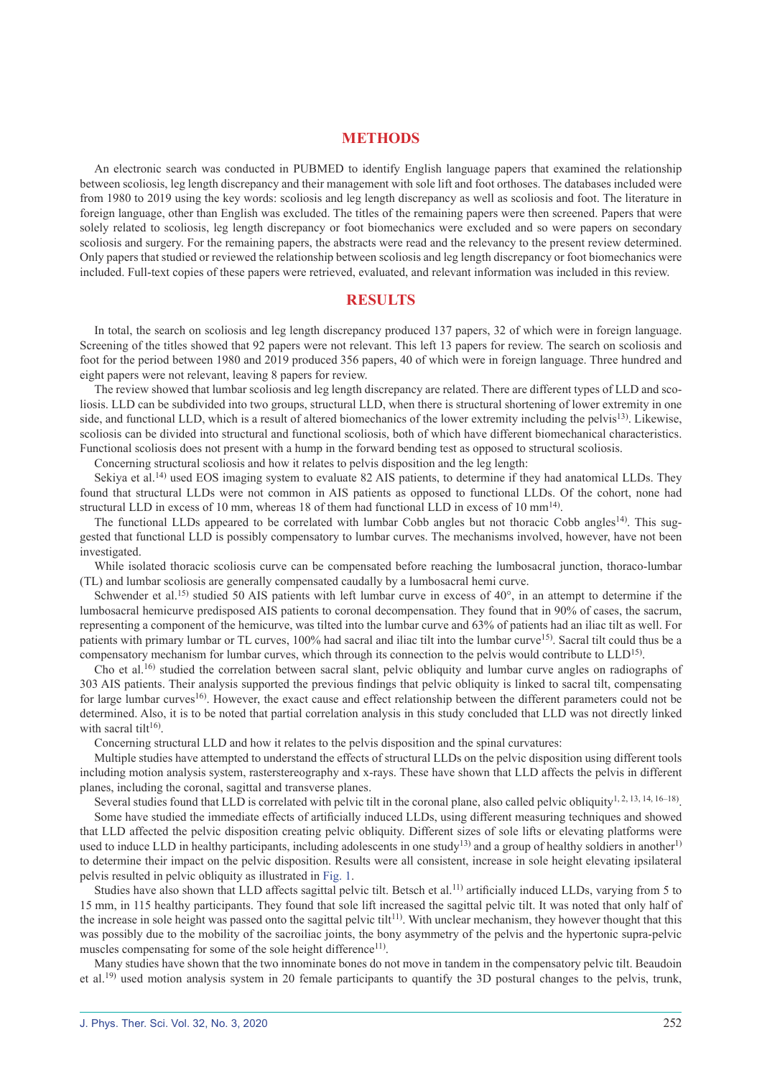#### **METHODS**

An electronic search was conducted in PUBMED to identify English language papers that examined the relationship between scoliosis, leg length discrepancy and their management with sole lift and foot orthoses. The databases included were from 1980 to 2019 using the key words: scoliosis and leg length discrepancy as well as scoliosis and foot. The literature in foreign language, other than English was excluded. The titles of the remaining papers were then screened. Papers that were solely related to scoliosis, leg length discrepancy or foot biomechanics were excluded and so were papers on secondary scoliosis and surgery. For the remaining papers, the abstracts were read and the relevancy to the present review determined. Only papers that studied or reviewed the relationship between scoliosis and leg length discrepancy or foot biomechanics were included. Full-text copies of these papers were retrieved, evaluated, and relevant information was included in this review.

### **RESULTS**

In total, the search on scoliosis and leg length discrepancy produced 137 papers, 32 of which were in foreign language. Screening of the titles showed that 92 papers were not relevant. This left 13 papers for review. The search on scoliosis and foot for the period between 1980 and 2019 produced 356 papers, 40 of which were in foreign language. Three hundred and eight papers were not relevant, leaving 8 papers for review.

The review showed that lumbar scoliosis and leg length discrepancy are related. There are different types of LLD and scoliosis. LLD can be subdivided into two groups, structural LLD, when there is structural shortening of lower extremity in one side, and functional LLD, which is a result of altered biomechanics of the lower extremity including the pelvis<sup>[13\)](#page-4-4)</sup>. Likewise, scoliosis can be divided into structural and functional scoliosis, both of which have different biomechanical characteristics. Functional scoliosis does not present with a hump in the forward bending test as opposed to structural scoliosis.

Concerning structural scoliosis and how it relates to pelvis disposition and the leg length:

Sekiya et al.<sup>[14](#page-4-5)</sup>) used EOS imaging system to evaluate 82 AIS patients, to determine if they had anatomical LLDs. They found that structural LLDs were not common in AIS patients as opposed to functional LLDs. Of the cohort, none had structural LLD in excess of 10 mm, whereas 18 of them had functional LLD in excess of 10 mm<sup>[14](#page-4-5)</sup>.

The functional LLDs appeared to be correlated with lumbar Cobb angles but not thoracic Cobb angles<sup>[14](#page-4-5)</sup>). This suggested that functional LLD is possibly compensatory to lumbar curves. The mechanisms involved, however, have not been investigated.

While isolated thoracic scoliosis curve can be compensated before reaching the lumbosacral junction, thoraco-lumbar (TL) and lumbar scoliosis are generally compensated caudally by a lumbosacral hemi curve.

Schwender et al.<sup>[15](#page-4-6)</sup>) studied 50 AIS patients with left lumbar curve in excess of  $40^{\circ}$ , in an attempt to determine if the lumbosacral hemicurve predisposed AIS patients to coronal decompensation. They found that in 90% of cases, the sacrum, representing a component of the hemicurve, was tilted into the lumbar curve and 63% of patients had an iliac tilt as well. For patients with primary lumbar or TL curves, 100% had sacral and iliac tilt into the lumbar curve[15\)](#page-4-6). Sacral tilt could thus be a compensatory mechanism for lumbar curves, which through its connection to the pelvis would contribute to  $\text{LLD}^{15}$ .

Cho et al.<sup>[16](#page-4-7))</sup> studied the correlation between sacral slant, pelvic obliquity and lumbar curve angles on radiographs of 303 AIS patients. Their analysis supported the previous findings that pelvic obliquity is linked to sacral tilt, compensating for large lumbar curves<sup>[16](#page-4-7)</sup>. However, the exact cause and effect relationship between the different parameters could not be determined. Also, it is to be noted that partial correlation analysis in this study concluded that LLD was not directly linked with sacral tilt<sup>[16](#page-4-7))</sup>.

Concerning structural LLD and how it relates to the pelvis disposition and the spinal curvatures:

Multiple studies have attempted to understand the effects of structural LLDs on the pelvic disposition using different tools including motion analysis system, rasterstereography and x-rays. These have shown that LLD affects the pelvis in different planes, including the coronal, sagittal and transverse planes.

Several studies found that LLD is correlated with pelvic tilt in the coronal plane, also called pelvic obliquity<sup>[1, 2, 13, 14, 16–18](#page-4-0))</sup>. Some have studied the immediate effects of artificially induced LLDs, using different measuring techniques and showed that LLD affected the pelvic disposition creating pelvic obliquity. Different sizes of sole lifts or elevating platforms were used to induce LLD in healthy participants, including adolescents in one study<sup>[13\)](#page-4-4)</sup> and a group of healthy soldiers in another<sup>[1\)](#page-4-0)</sup> to determine their impact on the pelvic disposition. Results were all consistent, increase in sole height elevating ipsilateral pelvis resulted in pelvic obliquity as illustrated in Fig. 1.

Studies have also shown that LLD affects sagittal pelvic tilt. Betsch et al.<sup>11</sup>) artificially induced LLDs, varying from 5 to 15 mm, in 115 healthy participants. They found that sole lift increased the sagittal pelvic tilt. It was noted that only half of the increase in sole height was passed onto the sagittal pelvic tilt<sup>[11](#page-4-3)</sup>. With unclear mechanism, they however thought that this was possibly due to the mobility of the sacroiliac joints, the bony asymmetry of the pelvis and the hypertonic supra-pelvic muscles compensating for some of the sole height difference<sup>[11](#page-4-3))</sup>.

Many studies have shown that the two innominate bones do not move in tandem in the compensatory pelvic tilt. Beaudoin et al.[19\)](#page-5-0) used motion analysis system in 20 female participants to quantify the 3D postural changes to the pelvis, trunk,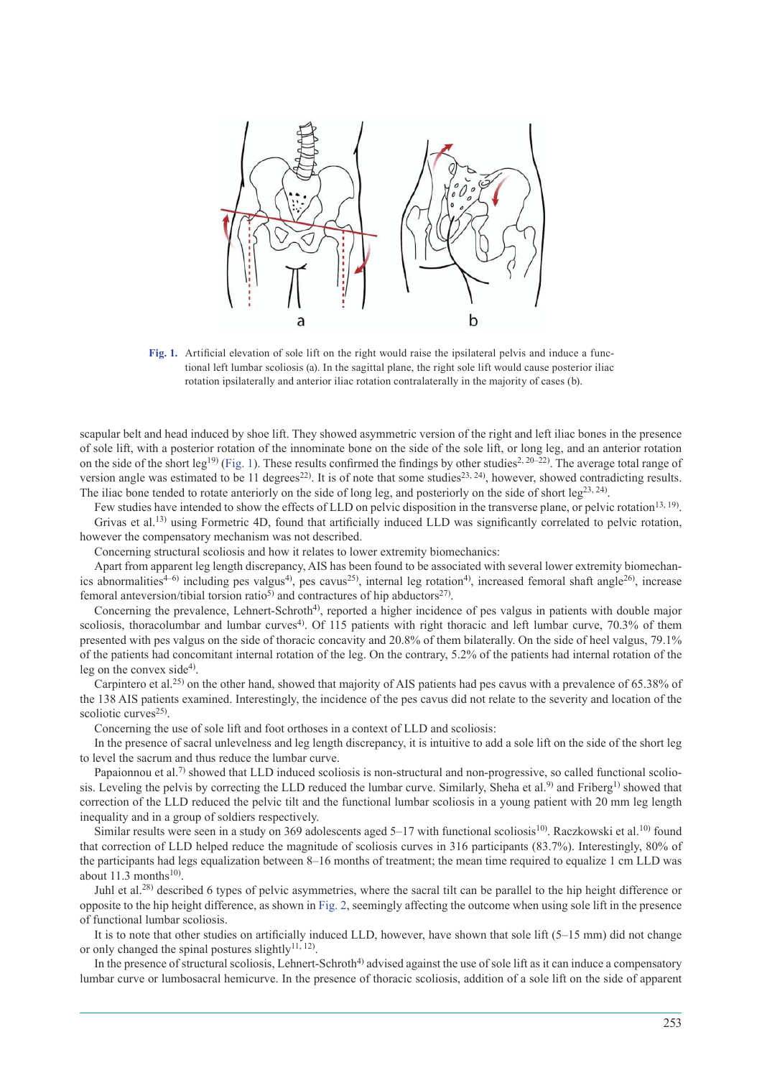

**Fig. 1.** Artificial elevation of sole lift on the right would raise the ipsilateral pelvis and induce a functional left lumbar scoliosis (a). In the sagittal plane, the right sole lift would cause posterior iliac rotation ipsilaterally and anterior iliac rotation contralaterally in the majority of cases (b).

scapular belt and head induced by shoe lift. They showed asymmetric version of the right and left iliac bones in the presence of sole lift, with a posterior rotation of the innominate bone on the side of the sole lift, or long leg, and an anterior rotation on the side of the short leg<sup>[19\)](#page-5-0)</sup> (Fig. 1). These results confirmed the findings by other studies<sup>[2, 20–22](#page-4-1)</sup>). The average total range of version angle was estimated to be 11 degrees<sup>[22\)](#page-5-1)</sup>. It is of note that some studies<sup>[23, 24](#page-5-2)</sup>), however, showed contradicting results. The iliac bone tended to rotate anteriorly on the side of long leg, and posteriorly on the side of short leg<sup>[23, 24](#page-5-2)</sup>).

Few studies have intended to show the effects of LLD on pelvic disposition in the transverse plane, or pelvic rotation<sup>[13, 19](#page-4-4))</sup>. Grivas et al.<sup>[13](#page-4-4))</sup> using Formetric 4D, found that artificially induced LLD was significantly correlated to pelvic rotation, however the compensatory mechanism was not described.

Concerning structural scoliosis and how it relates to lower extremity biomechanics:

Apart from apparent leg length discrepancy, AIS has been found to be associated with several lower extremity biomechan-ics abnormalities<sup>[4–6](#page-4-2))</sup> including pes valgus<sup>[4](#page-4-2))</sup>, pes cavus<sup>[25](#page-5-3))</sup>, internal leg rotation<sup>4</sup>), increased femoral shaft angle<sup>[26](#page-5-4)</sup>), increase femoral anteversion/tibial torsion ratio<sup>[5](#page-4-8))</sup> and contractures of hip abductors<sup>[27](#page-5-5))</sup>.

Concerning the prevalence, Lehnert-Schroth<sup>[4](#page-4-2))</sup>, reported a higher incidence of pes valgus in patients with double major scoliosis, thoracolumbar and lumbar curves<sup>[4](#page-4-2)</sup>). Of 115 patients with right thoracic and left lumbar curve, 70.3% of them presented with pes valgus on the side of thoracic concavity and 20.8% of them bilaterally. On the side of heel valgus, 79.1% of the patients had concomitant internal rotation of the leg. On the contrary, 5.2% of the patients had internal rotation of the leg on the convex side<sup>[4](#page-4-2))</sup>.

Carpintero et al.[25\)](#page-5-3) on the other hand, showed that majority of AIS patients had pes cavus with a prevalence of 65.38% of the 138 AIS patients examined. Interestingly, the incidence of the pes cavus did not relate to the severity and location of the scoliotic curves<sup>[25](#page-5-3))</sup>.

Concerning the use of sole lift and foot orthoses in a context of LLD and scoliosis:

In the presence of sacral unlevelness and leg length discrepancy, it is intuitive to add a sole lift on the side of the short leg to level the sacrum and thus reduce the lumbar curve.

Papaionnou et al.<sup>[7](#page-4-9))</sup> showed that LLD induced scoliosis is non-structural and non-progressive, so called functional scolio-sis. Leveling the pelvis by correcting the LLD reduced the lumbar curve. Similarly, Sheha et al.<sup>[9](#page-4-10))</sup> and Friberg<sup>[1](#page-4-0))</sup> showed that correction of the LLD reduced the pelvic tilt and the functional lumbar scoliosis in a young patient with 20 mm leg length inequality and in a group of soldiers respectively.

Similar results were seen in a study on 369 adolescents aged 5–17 with functional scoliosis<sup>[10\)](#page-4-11)</sup>. Raczkowski et al.<sup>[10](#page-4-11))</sup> found that correction of LLD helped reduce the magnitude of scoliosis curves in 316 participants (83.7%). Interestingly, 80% of the participants had legs equalization between 8–16 months of treatment; the mean time required to equalize 1 cm LLD was about  $11.3$  months<sup>[10](#page-4-11)</sup>).

Juhl et al.[28\)](#page-5-6) described 6 types of pelvic asymmetries, where the sacral tilt can be parallel to the hip height difference or opposite to the hip height difference, as shown in Fig. 2, seemingly affecting the outcome when using sole lift in the presence of functional lumbar scoliosis.

It is to note that other studies on artificially induced LLD, however, have shown that sole lift (5–15 mm) did not change or only changed the spinal postures slightly<sup>11, 12</sup>).

In the presence of structural scoliosis, Lehnert-Schroth<sup>[4](#page-4-2))</sup> advised against the use of sole lift as it can induce a compensatory lumbar curve or lumbosacral hemicurve. In the presence of thoracic scoliosis, addition of a sole lift on the side of apparent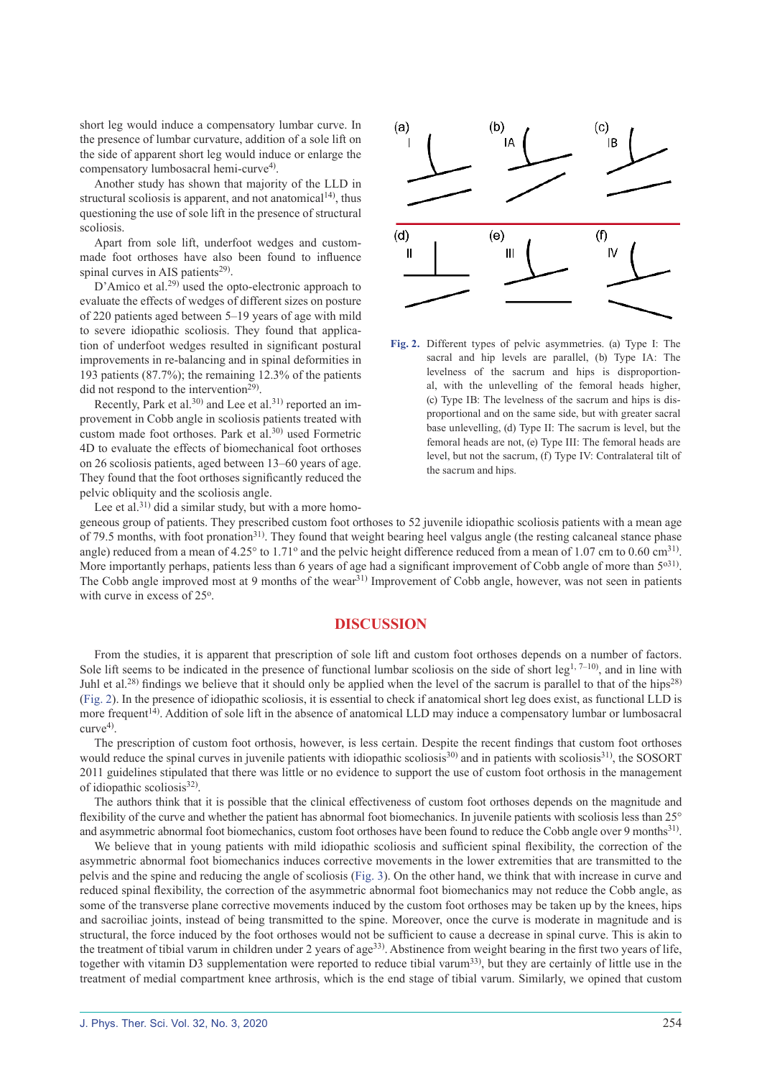short leg would induce a compensatory lumbar curve. In the presence of lumbar curvature, addition of a sole lift on the side of apparent short leg would induce or enlarge the compensatory lumbosacral hemi-curve<sup>[4](#page-4-2))</sup>.

Another study has shown that majority of the LLD in structural scoliosis is apparent, and not anatomical $14$ , thus questioning the use of sole lift in the presence of structural scoliosis.

Apart from sole lift, underfoot wedges and custommade foot orthoses have also been found to influence spinal curves in AIS patients<sup>[29\)](#page-5-7)</sup>.

D'Amico et al.<sup>[29\)](#page-5-7)</sup> used the opto-electronic approach to evaluate the effects of wedges of different sizes on posture of 220 patients aged between 5–19 years of age with mild to severe idiopathic scoliosis. They found that application of underfoot wedges resulted in significant postural improvements in re-balancing and in spinal deformities in 193 patients (87.7%); the remaining 12.3% of the patients did not respond to the intervention<sup>[29](#page-5-7))</sup>.

Recently, Park et al.<sup>[30\)](#page-5-8)</sup> and Lee et al.<sup>[31](#page-5-9))</sup> reported an improvement in Cobb angle in scoliosis patients treated with custom made foot orthoses. Park et al.<sup>[30\)](#page-5-8)</sup> used Formetric 4D to evaluate the effects of biomechanical foot orthoses on 26 scoliosis patients, aged between 13–60 years of age. They found that the foot orthoses significantly reduced the pelvic obliquity and the scoliosis angle.

Lee et al.<sup>[31\)](#page-5-9)</sup> did a similar study, but with a more homo-

 $(a)$  $(b)$  $(c)$  $(d)$  $(e)$  $(f)$ П Ш



geneous group of patients. They prescribed custom foot orthoses to 52 juvenile idiopathic scoliosis patients with a mean age of 79.5 months, with foot pronation<sup>[31\)](#page-5-9)</sup>. They found that weight bearing heel valgus angle (the resting calcaneal stance phase angle) reduced from a mean of  $4.25^{\circ}$  to  $1.71^{\circ}$  and the pelvic height difference reduced from a mean of  $1.07$  cm to  $0.60$  cm<sup>[31](#page-5-9)</sup>. More importantly perhaps, patients less than 6 years of age had a significant improvement of Cobb angle of more than  $5^{031}$  $5^{031}$  $5^{031}$ . The Cobb angle improved most at 9 months of the wear<sup>[31](#page-5-9))</sup> Improvement of Cobb angle, however, was not seen in patients with curve in excess of 25°.

### **DISCUSSION**

From the studies, it is apparent that prescription of sole lift and custom foot orthoses depends on a number of factors. Sole lift seems to be indicated in the presence of functional lumbar scoliosis on the side of short leg<sup>[1, 7–10](#page-4-0)</sup>, and in line with Juhl et al.<sup>[28](#page-5-6))</sup> findings we believe that it should only be applied when the level of the sacrum is parallel to that of the hips<sup>[28\)](#page-5-6)</sup> (Fig. 2). In the presence of idiopathic scoliosis, it is essential to check if anatomical short leg does exist, as functional LLD is more frequent<sup>[14](#page-4-5))</sup>. Addition of sole lift in the absence of anatomical LLD may induce a compensatory lumbar or lumbosacral curve[4](#page-4-2)) .

The prescription of custom foot orthosis, however, is less certain. Despite the recent findings that custom foot orthoses would reduce the spinal curves in juvenile patients with idiopathic scoliosis<sup>30</sup> and in patients with scoliosis<sup>[31](#page-5-9))</sup>, the SOSORT 2011 guidelines stipulated that there was little or no evidence to support the use of custom foot orthosis in the management of idiopathic scoliosis<sup>[32](#page-5-10))</sup>.

The authors think that it is possible that the clinical effectiveness of custom foot orthoses depends on the magnitude and flexibility of the curve and whether the patient has abnormal foot biomechanics. In juvenile patients with scoliosis less than 25° and asymmetric abnormal foot biomechanics, custom foot orthoses have been found to reduce the Cobb angle over 9 months<sup>[31](#page-5-9))</sup>.

We believe that in young patients with mild idiopathic scoliosis and sufficient spinal flexibility, the correction of the asymmetric abnormal foot biomechanics induces corrective movements in the lower extremities that are transmitted to the pelvis and the spine and reducing the angle of scoliosis (Fig. 3). On the other hand, we think that with increase in curve and reduced spinal flexibility, the correction of the asymmetric abnormal foot biomechanics may not reduce the Cobb angle, as some of the transverse plane corrective movements induced by the custom foot orthoses may be taken up by the knees, hips and sacroiliac joints, instead of being transmitted to the spine. Moreover, once the curve is moderate in magnitude and is structural, the force induced by the foot orthoses would not be sufficient to cause a decrease in spinal curve. This is akin to the treatment of tibial varum in children under 2 years of age<sup>[33](#page-5-11))</sup>. Abstinence from weight bearing in the first two years of life, together with vitamin D3 supplementation were reported to reduce tibial varum<sup>[33\)](#page-5-11)</sup>, but they are certainly of little use in the treatment of medial compartment knee arthrosis, which is the end stage of tibial varum. Similarly, we opined that custom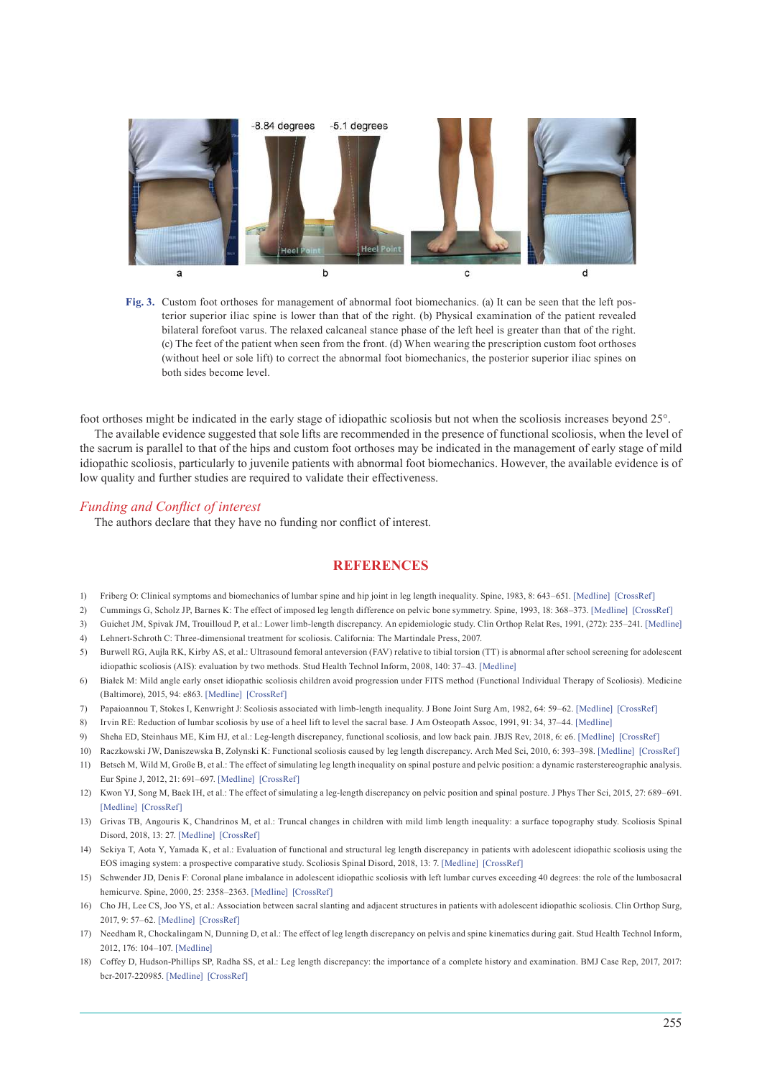

**Fig. 3.** Custom foot orthoses for management of abnormal foot biomechanics. (a) It can be seen that the left posterior superior iliac spine is lower than that of the right. (b) Physical examination of the patient revealed bilateral forefoot varus. The relaxed calcaneal stance phase of the left heel is greater than that of the right. (c) The feet of the patient when seen from the front. (d) When wearing the prescription custom foot orthoses (without heel or sole lift) to correct the abnormal foot biomechanics, the posterior superior iliac spines on both sides become level.

foot orthoses might be indicated in the early stage of idiopathic scoliosis but not when the scoliosis increases beyond 25°.

The available evidence suggested that sole lifts are recommended in the presence of functional scoliosis, when the level of the sacrum is parallel to that of the hips and custom foot orthoses may be indicated in the management of early stage of mild idiopathic scoliosis, particularly to juvenile patients with abnormal foot biomechanics. However, the available evidence is of low quality and further studies are required to validate their effectiveness.

#### *Funding and Conflict of interest*

The authors declare that they have no funding nor conflict of interest.

#### **REFERENCES**

- <span id="page-4-0"></span>1) Friberg O: Clinical symptoms and biomechanics of lumbar spine and hip joint in leg length inequality. Spine, 1983, 8: 643–651. [\[Medline\]](http://www.ncbi.nlm.nih.gov/pubmed/6228021?dopt=Abstract) [\[CrossRef\]](http://dx.doi.org/10.1097/00007632-198309000-00010)
- <span id="page-4-1"></span>2) Cummings G, Scholz JP, Barnes K: The effect of imposed leg length difference on pelvic bone symmetry. Spine, 1993, 18: 368–373. [\[Medline\]](http://www.ncbi.nlm.nih.gov/pubmed/8475440?dopt=Abstract) [\[CrossRef\]](http://dx.doi.org/10.1097/00007632-199303000-00012)
- 3) Guichet JM, Spivak JM, Trouilloud P, et al.: Lower limb-length discrepancy. An epidemiologic study. Clin Orthop Relat Res, 1991, (272): 235–241. [\[Medline\]](http://www.ncbi.nlm.nih.gov/pubmed/1934739?dopt=Abstract)
- <span id="page-4-2"></span>4) Lehnert-Schroth C: Three-dimensional treatment for scoliosis. California: The Martindale Press, 2007.
- <span id="page-4-8"></span>5) Burwell RG, Aujla RK, Kirby AS, et al.: Ultrasound femoral anteversion (FAV) relative to tibial torsion (TT) is abnormal after school screening for adolescent idiopathic scoliosis (AIS): evaluation by two methods. Stud Health Technol Inform, 2008, 140: 37–43. [\[Medline\]](http://www.ncbi.nlm.nih.gov/pubmed/18809996?dopt=Abstract)
- 6) Białek M: Mild angle early onset idiopathic scoliosis children avoid progression under FITS method (Functional Individual Therapy of Scoliosis). Medicine (Baltimore), 2015, 94: e863. [\[Medline\]](http://www.ncbi.nlm.nih.gov/pubmed/25997065?dopt=Abstract) [\[CrossRef\]](http://dx.doi.org/10.1097/MD.0000000000000863)
- <span id="page-4-9"></span>7) Papaioannou T, Stokes I, Kenwright J: Scoliosis associated with limb-length inequality. J Bone Joint Surg Am, 1982, 64: 59–62. [\[Medline\]](http://www.ncbi.nlm.nih.gov/pubmed/7054204?dopt=Abstract) [\[CrossRef\]](http://dx.doi.org/10.2106/00004623-198264010-00009)
- 8) Irvin RE: Reduction of lumbar scoliosis by use of a heel lift to level the sacral base. J Am Osteopath Assoc, 1991, 91: 34, 37–44. [\[Medline\]](http://www.ncbi.nlm.nih.gov/pubmed/1997458?dopt=Abstract)
- <span id="page-4-10"></span>9) Sheha ED, Steinhaus ME, Kim HJ, et al.: Leg-length discrepancy, functional scoliosis, and low back pain. JBJS Rev, 2018, 6: e6. [\[Medline\]](http://www.ncbi.nlm.nih.gov/pubmed/30130357?dopt=Abstract) [\[CrossRef\]](http://dx.doi.org/10.2106/JBJS.RVW.17.00148)
- <span id="page-4-11"></span>10) Raczkowski JW, Daniszewska B, Zolynski K: Functional scoliosis caused by leg length discrepancy. Arch Med Sci, 2010, 6: 393–398. [\[Medline\]](http://www.ncbi.nlm.nih.gov/pubmed/22371777?dopt=Abstract) [\[CrossRef\]](http://dx.doi.org/10.5114/aoms.2010.14262)
- <span id="page-4-3"></span>11) Betsch M, Wild M, Große B, et al.: The effect of simulating leg length inequality on spinal posture and pelvic position: a dynamic rasterstereographic analysis. Eur Spine J, 2012, 21: 691–697. [\[Medline\]](http://www.ncbi.nlm.nih.gov/pubmed/21769443?dopt=Abstract) [\[CrossRef\]](http://dx.doi.org/10.1007/s00586-011-1912-5)
- 12) Kwon YJ, Song M, Baek IH, et al.: The effect of simulating a leg-length discrepancy on pelvic position and spinal posture. J Phys Ther Sci, 2015, 27: 689–691. [\[Medline\]](http://www.ncbi.nlm.nih.gov/pubmed/25931709?dopt=Abstract) [\[CrossRef\]](http://dx.doi.org/10.1589/jpts.27.689)
- <span id="page-4-4"></span>13) Grivas TB, Angouris K, Chandrinos M, et al.: Truncal changes in children with mild limb length inequality: a surface topography study. Scoliosis Spinal Disord, 2018, 13: 27. [\[Medline\]](http://www.ncbi.nlm.nih.gov/pubmed/30599038?dopt=Abstract) [\[CrossRef\]](http://dx.doi.org/10.1186/s13013-018-0173-z)
- <span id="page-4-5"></span>14) Sekiya T, Aota Y, Yamada K, et al.: Evaluation of functional and structural leg length discrepancy in patients with adolescent idiopathic scoliosis using the EOS imaging system: a prospective comparative study. Scoliosis Spinal Disord, 2018, 13: 7. [\[Medline\]](http://www.ncbi.nlm.nih.gov/pubmed/29721550?dopt=Abstract) [\[CrossRef\]](http://dx.doi.org/10.1186/s13013-018-0152-4)
- <span id="page-4-6"></span>15) Schwender JD, Denis F: Coronal plane imbalance in adolescent idiopathic scoliosis with left lumbar curves exceeding 40 degrees: the role of the lumbosacral hemicurve. Spine, 2000, 25: 2358–2363. [\[Medline\]](http://www.ncbi.nlm.nih.gov/pubmed/10984789?dopt=Abstract) [\[CrossRef\]](http://dx.doi.org/10.1097/00007632-200009150-00015)
- <span id="page-4-7"></span>16) Cho JH, Lee CS, Joo YS, et al.: Association between sacral slanting and adjacent structures in patients with adolescent idiopathic scoliosis. Clin Orthop Surg, 2017, 9: 57–62. [\[Medline\]](http://www.ncbi.nlm.nih.gov/pubmed/28261428?dopt=Abstract) [\[CrossRef\]](http://dx.doi.org/10.4055/cios.2017.9.1.57)
- 17) Needham R, Chockalingam N, Dunning D, et al.: The effect of leg length discrepancy on pelvis and spine kinematics during gait. Stud Health Technol Inform, 2012, 176: 104–107. [\[Medline\]](http://www.ncbi.nlm.nih.gov/pubmed/22744469?dopt=Abstract)
- 18) Coffey D, Hudson-Phillips SP, Radha SS, et al.: Leg length discrepancy: the importance of a complete history and examination. BMJ Case Rep, 2017, 2017: bcr-2017-220985. [\[Medline\]](http://www.ncbi.nlm.nih.gov/pubmed/29197838?dopt=Abstract) [\[CrossRef\]](http://dx.doi.org/10.1136/bcr-2017-220985)